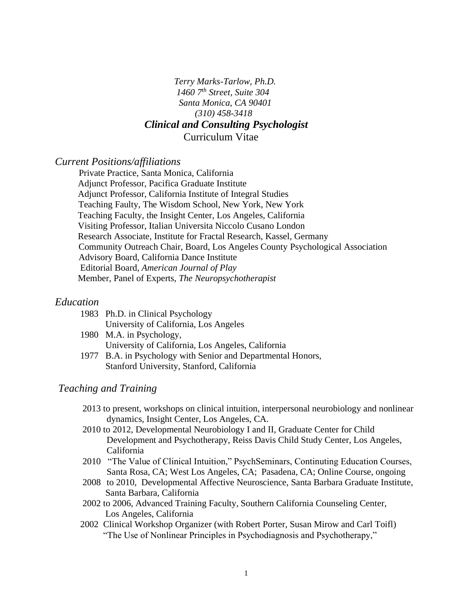*Terry Marks-Tarlow, Ph.D. 1460 7th Street, Suite 304 Santa Monica, CA 90401 (310) 458-3418*

# *Clinical and Consulting Psychologist*

Curriculum Vitae

### *Current Positions/affiliations*

Private Practice, Santa Monica, California Adjunct Professor, Pacifica Graduate Institute Adjunct Professor, California Institute of Integral Studies Teaching Faulty, The Wisdom School, New York, New York Teaching Faculty, the Insight Center, Los Angeles, California Visiting Professor, Italian Universita Niccolo Cusano London Research Associate, Institute for Fractal Research, Kassel, Germany Community Outreach Chair, Board, Los Angeles County Psychological Association Advisory Board, California Dance Institute Editorial Board, *American Journal of Play* Member, Panel of Experts, *The Neuropsychotherapist* 

## *Education*

| 1983 Ph.D. in Clinical Psychology     |
|---------------------------------------|
| University of California, Los Angeles |
| $1000 \, M \, M$ in Development       |

- 1980 M.A. in Psychology, University of California, Los Angeles, California
- 1977 B.A. in Psychology with Senior and Departmental Honors, Stanford University, Stanford, California

## *Teaching and Training*

- 2013 to present, workshops on clinical intuition, interpersonal neurobiology and nonlinear dynamics, Insight Center, Los Angeles, CA.
- 2010 to 2012, Developmental Neurobiology I and II, Graduate Center for Child Development and Psychotherapy, Reiss Davis Child Study Center, Los Angeles, California
- 2010 "The Value of Clinical Intuition," PsychSeminars, Continuting Education Courses, Santa Rosa, CA; West Los Angeles, CA; Pasadena, CA; Online Course, ongoing
- 2008 to 2010, Developmental Affective Neuroscience, Santa Barbara Graduate Institute, Santa Barbara, California
- 2002 to 2006, Advanced Training Faculty, Southern California Counseling Center, Los Angeles, California
- 2002 Clinical Workshop Organizer (with Robert Porter, Susan Mirow and Carl Toifl) "The Use of Nonlinear Principles in Psychodiagnosis and Psychotherapy,"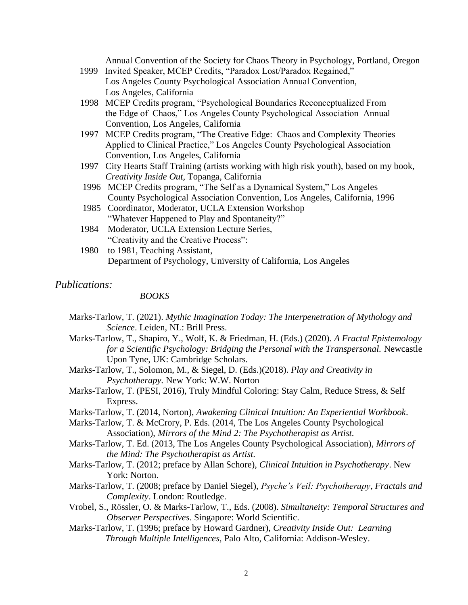Annual Convention of the Society for Chaos Theory in Psychology, Portland, Oregon 1999 Invited Speaker, MCEP Credits, "Paradox Lost/Paradox Regained,"

- Los Angeles County Psychological Association Annual Convention, Los Angeles, California
- 1998 MCEP Credits program, "Psychological Boundaries Reconceptualized From the Edge of Chaos," Los Angeles County Psychological Association Annual Convention, Los Angeles, California
- 1997 MCEP Credits program, "The Creative Edge: Chaos and Complexity Theories Applied to Clinical Practice," Los Angeles County Psychological Association Convention, Los Angeles, California
- 1997 City Hearts Staff Training (artists working with high risk youth), based on my book, *Creativity Inside Out,* Topanga, California
- 1996 MCEP Credits program, "The Self as a Dynamical System," Los Angeles County Psychological Association Convention, Los Angeles, California, 1996
- 1985 Coordinator, Moderator, UCLA Extension Workshop "Whatever Happened to Play and Spontaneity?"
- 1984 Moderator, UCLA Extension Lecture Series, "Creativity and the Creative Process":
- 1980 to 1981, Teaching Assistant, Department of Psychology, University of California, Los Angeles

## *Publications:*

## *BOOKS*

- Marks-Tarlow, T. (2021). *Mythic Imagination Today: The Interpenetration of Mythology and Science*. Leiden, NL: Brill Press.
- Marks-Tarlow, T., Shapiro, Y., Wolf, K. & Friedman, H. (Eds.) (2020). *A Fractal Epistemology for a Scientific Psychology: Bridging the Personal with the Transpersonal.* Newcastle Upon Tyne, UK: Cambridge Scholars.
- Marks-Tarlow, T., Solomon, M., & Siegel, D. (Eds.)(2018). *Play and Creativity in Psychotherapy.* New York: W.W. Norton
- Marks-Tarlow, T. (PESI, 2016), Truly Mindful Coloring: Stay Calm, Reduce Stress, & Self Express.
- Marks-Tarlow, T. (2014, Norton), *Awakening Clinical Intuition: An Experiential Workbook*.
- Marks-Tarlow, T. & McCrory, P. Eds. (2014, The Los Angeles County Psychological Association), *Mirrors of the Mind 2: The Psychotherapist as Artist.*
- Marks-Tarlow, T. Ed. (2013, The Los Angeles County Psychological Association), *Mirrors of the Mind: The Psychotherapist as Artist.*
- Marks-Tarlow, T. (2012; preface by Allan Schore), *Clinical Intuition in Psychotherapy*. New York: Norton.
- Marks-Tarlow, T. (2008; preface by Daniel Siegel), *Psyche's Veil: Psychotherapy, Fractals and Complexity*. London: Routledge.
- Vrobel, S., Rössler, O. & Marks-Tarlow, T., Eds. (2008). *Simultaneity: Temporal Structures and Observer Perspectives*. Singapore: World Scientific.
- Marks-Tarlow, T. (1996; preface by Howard Gardner), *Creativity Inside Out: Learning Through Multiple Intelligences,* Palo Alto, California: Addison-Wesley.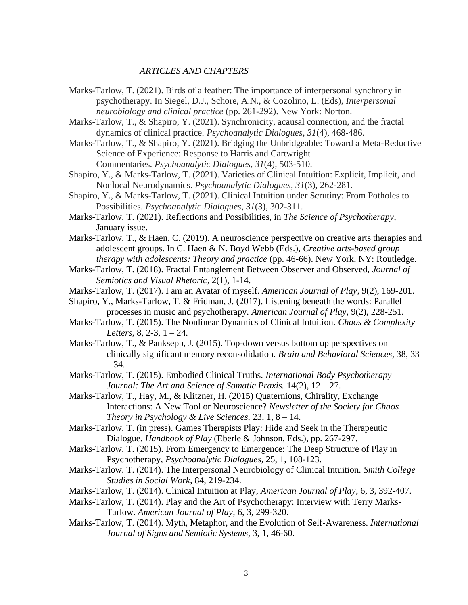#### *ARTICLES AND CHAPTERS*

- Marks-Tarlow, T. (2021). Birds of a feather: The importance of interpersonal synchrony in psychotherapy. In Siegel, D.J., Schore, A.N., & Cozolino, L. (Eds), *Interpersonal neurobiology and clinical practice* (pp. 261-292). New York: Norton.
- Marks-Tarlow, T., & Shapiro, Y. (2021). Synchronicity, acausal connection, and the fractal dynamics of clinical practice. *Psychoanalytic Dialogues*, *31*(4), 468-486.
- Marks-Tarlow, T., & Shapiro, Y. (2021). Bridging the Unbridgeable: Toward a Meta-Reductive Science of Experience: Response to Harris and Cartwright Commentaries. *Psychoanalytic Dialogues*, *31*(4), 503-510.
- Shapiro, Y., & Marks-Tarlow, T. (2021). Varieties of Clinical Intuition: Explicit, Implicit, and Nonlocal Neurodynamics. *Psychoanalytic Dialogues*, *31*(3), 262-281.
- Shapiro, Y., & Marks-Tarlow, T. (2021). Clinical Intuition under Scrutiny: From Potholes to Possibilities. *Psychoanalytic Dialogues*, *31*(3), 302-311.
- [Marks-Tarlow, T. \(2021\). Reflections and Possibilities, in](https://www.markstarlow.com/wp-content/uploads/2021/01/SoP_January_2021_MarksTarlow-201230-104505.pdf) *The Science of Psychotherapy*, [January issue.](https://www.markstarlow.com/wp-content/uploads/2021/01/SoP_January_2021_MarksTarlow-201230-104505.pdf)
- [Marks-Tarlow, T., & Haen, C. \(2019\). A neuroscience perspective on creative arts therapies and](http://www.markstarlow.com/wp-content/uploads/2018/10/Chapter-3-Haen-Book.pdf)  [adolescent groups. In C. Haen & N. Boyd Webb \(Eds.\),](http://www.markstarlow.com/wp-content/uploads/2018/10/Chapter-3-Haen-Book.pdf) *Creative arts-based group [therapy with adolescents: Theory and practice](http://www.markstarlow.com/wp-content/uploads/2018/10/Chapter-3-Haen-Book.pdf)* (pp. 46-66). New York, NY: Routledge.
- [Marks-Tarlow, T. \(2018\). Fractal Entanglement Between Observer and Observed,](http://www.markstarlow.com/wp-content/uploads/2018/04/Fractal-Entanglement-Journal-of-Semiotics-Visual-Rhetoric-2018.pdf) *Journal of [Semiotics and Visual Rhetoric](http://www.markstarlow.com/wp-content/uploads/2018/04/Fractal-Entanglement-Journal-of-Semiotics-Visual-Rhetoric-2018.pdf)*, 2(1), 1-14.
- Marks-Tarlow, T. (2017). I am an Avatar of myself. *American Journal of Play*, 9(2), 169-201.
- Shapiro, Y., Marks-Tarlow, T. & Fridman, J. (2017). Listening beneath the words: Parallel processes in music and psychotherapy. *American Journal of Play*, 9(2), 228-251.
- Marks-Tarlow, T. (2015). The Nonlinear Dynamics of Clinical Intuition*. Chaos & Complexity Letters*, 8, 2-3, 1 – 24.
- Marks-Tarlow, T., & Panksepp, J. (2015). Top-down versus bottom up perspectives on clinically significant memory reconsolidation. *Brain and Behavioral Sciences*, 38, 33  $-34.$
- Marks-Tarlow, T. (2015). Embodied Clinical Truths. *International Body Psychotherapy Journal: The Art and Science of Somatic Praxis.* 14(2), 12 – 27.
- Marks-Tarlow, T., Hay, M., & Klitzner, H. (2015) Quaternions, Chirality, Exchange Interactions: A New Tool or Neuroscience? *Newsletter of the Society for Chaos Theory in Psychology & Live Sciences,* 23, 1, 8 – 14.
- Marks-Tarlow, T. (in press). Games Therapists Play: Hide and Seek in the Therapeutic Dialogue*. Handbook of Play* (Eberle & Johnson, Eds.), pp. 267-297.
- Marks-Tarlow, T. (2015). From Emergency to Emergence: The Deep Structure of Play in Psychotherapy, *Psychoanalytic Dialogues,* 25, 1, 108-123.
- Marks-Tarlow, T. (2014). The Interpersonal Neurobiology of Clinical Intuition. *Smith College Studies in Social Work,* 84, 219-234.
- Marks-Tarlow, T. (2014). Clinical Intuition at Play, *American Journal of Play*, 6, 3, 392-407.
- Marks-Tarlow, T. (2014). Play and the Art of Psychotherapy: Interview with Terry Marks-Tarlow. *American Journal of Play*, 6, 3, 299-320.
- Marks-Tarlow, T. (2014). Myth, Metaphor, and the Evolution of Self-Awareness. *International Journal of Signs and Semiotic Systems*, 3, 1, 46-60.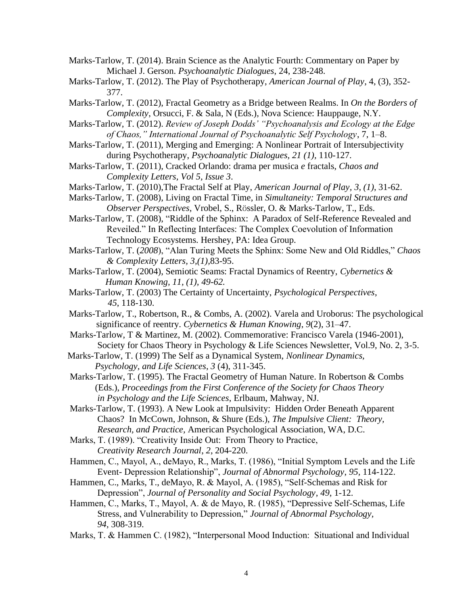Marks-Tarlow, T. (2014). Brain Science as the Analytic Fourth: Commentary on Paper by Michael J. Gerson. *Psychoanalytic Dialogues*, 24, 238-248.

- Marks-Tarlow, T. (2012). The Play of Psychotherapy, *American Journal of Play*, 4, (3), 352- 377.
- Marks-Tarlow, T. (2012), Fractal Geometry as a Bridge between Realms. In *On the Borders of Complexity*, Orsucci, F. & Sala, N (Eds.), Nova Science: Hauppauge, N.Y.

Marks-Tarlow, T. (2012). *Review of Joseph Dodds' "Psychoanalysis and Ecology at the Edge of Chaos," International Journal of Psychoanalytic Self Psychology*, 7, 1–8.

- Marks-Tarlow, T. (2011), Merging and Emerging: A Nonlinear Portrait of Intersubjectivity during Psychotherapy, *Psychoanalytic Dialogues, 21 (1),* 110-127.
- Marks-Tarlow, T. (2011), Cracked Orlando: drama per musica *e* fractals, *Chaos and Complexity Letters, Vol 5, Issue 3*.
- Marks-Tarlow, T. (2010),The Fractal Self at Play, *American Journal of Play, 3, (1)*, 31-62.
- Marks-Tarlow, T. (2008), Living on Fractal Time, in *Simultaneity: Temporal Structures and Observer Perspectives*, Vrobel, S., Rössler, O. & Marks-Tarlow, T., Eds.
- Marks-Tarlow, T. (2008), "Riddle of the Sphinx: A Paradox of Self-Reference Revealed and Reveiled." In Reflecting Interfaces: The Complex Coevolution of Information Technology Ecosystems. Hershey, PA: Idea Group.
- Marks-Tarlow, T. (*2008*), "Alan Turing Meets the Sphinx: Some New and Old Riddles," *Chaos & Complexity Letters, 3,(1),*83-95.
- Marks-Tarlow, T. (2004), Semiotic Seams: Fractal Dynamics of Reentry, *Cybernetics & Human Knowing, 11, (1), 49-62.*
- Marks-Tarlow, T. (2003) The Certainty of Uncertainty, *Psychological Perspectives*, *45*, 118-130.
- Marks-Tarlow, T., Robertson, R., & Combs, A. (2002). Varela and Uroborus: The psychological significance of reentry. *Cybernetics & Human Knowing*, *9*(2), 31–47.
- Marks-Tarlow, T & Martinez, M. (2002). Commemorative: Francisco Varela (1946-2001), Society for Chaos Theory in Psychology & Life Sciences Newsletter, Vol.9, No. 2, 3-5.
- Marks-Tarlow, T. (1999) The Self as a Dynamical System, *Nonlinear Dynamics, Psychology, and Life Sciences*, *3* (4), 311-345.
- Marks-Tarlow, T. (1995). The Fractal Geometry of Human Nature. In Robertson & Combs (Eds.), *Proceedings from the First Conference of the Society for Chaos Theory in Psychology and the Life Sciences*, Erlbaum, Mahway, NJ.
- Marks-Tarlow, T. (1993). A New Look at Impulsivity: Hidden Order Beneath Apparent Chaos? In McCown, Johnson, & Shure (Eds.), *The Impulsive Client: Theory, Research, and Practice,* American Psychological Association, WA, D.C.
- Marks, T. (1989). "Creativity Inside Out: From Theory to Practice, *Creativity Research Journal*, *2*, 204-220.
- Hammen, C., Mayol, A., deMayo, R., Marks, T. (1986), "Initial Symptom Levels and the Life Event- Depression Relationship", *Journal of Abnormal Psychology*, *95,* 114-122.
- Hammen, C., Marks, T., deMayo, R. & Mayol, A. (1985), "Self-Schemas and Risk for Depression", *Journal of Personality and Social Psychology*, *49*, 1-12.
- Hammen, C., Marks, T., Mayol, A. & de Mayo, R. (1985), "Depressive Self-Schemas, Life Stress, and Vulnerability to Depression," *Journal of Abnormal Psychology, 94*, 308-319.
- Marks, T. & Hammen C. (1982), "Interpersonal Mood Induction: Situational and Individual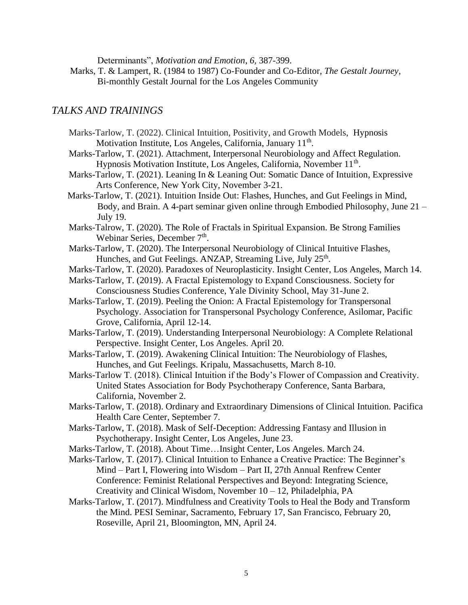Determinants", *Motivation and Emotion*, *6*, 387-399.

 Marks, T. & Lampert, R. (1984 to 1987) Co-Founder and Co-Editor, *The Gestalt Journey*, Bi-monthly Gestalt Journal for the Los Angeles Community

## *TALKS AND TRAININGS*

- Marks-Tarlow, T. (2022). Clinical Intuition, Positivity, and Growth Models, Hypnosis Motivation Institute, Los Angeles, California, January 11<sup>th</sup>.
- Marks-Tarlow, T. (2021). Attachment, Interpersonal Neurobiology and Affect Regulation. Hypnosis Motivation Institute, Los Angeles, California, November 11<sup>th</sup>.
- Marks-Tarlow, T. (2021). Leaning In & Leaning Out: Somatic Dance of Intuition, Expressive Arts Conference, New York City, November 3-21.
- Marks-Tarlow, T. (2021). Intuition Inside Out: Flashes, Hunches, and Gut Feelings in Mind, Body, and Brain. A 4-part seminar given online through Embodied Philosophy, June 21 – July 19.
- Marks-Talrow, T. (2020). The Role of Fractals in Spiritual Expansion. Be Strong Families Webinar Series, December 7<sup>th</sup>.
- Marks-Tarlow, T. (2020). The Interpersonal Neurobiology of Clinical Intuitive Flashes, Hunches, and Gut Feelings. ANZAP, Streaming Live, July 25<sup>th</sup>.
- Marks-Tarlow, T. (2020). Paradoxes of Neuroplasticity. Insight Center, Los Angeles, March 14.
- Marks-Tarlow, T. (2019). A Fractal Epistemology to Expand Consciousness. Society for Consciousness Studies Conference, Yale Divinity School, May 31-June 2.
- Marks-Tarlow, T. (2019). Peeling the Onion: A Fractal Epistemology for Transpersonal Psychology. Association for Transpersonal Psychology Conference, Asilomar, Pacific Grove, California, April 12-14.
- Marks-Tarlow, T. (2019). Understanding Interpersonal Neurobiology: A Complete Relational Perspective. Insight Center, Los Angeles. April 20.
- Marks-Tarlow, T. (2019). Awakening Clinical Intuition: The Neurobiology of Flashes, Hunches, and Gut Feelings. Kripalu, Massachusetts, March 8-10.
- Marks-Tarlow T. (2018). Clinical Intuition if the Body's Flower of Compassion and Creativity. United States Association for Body Psychotherapy Conference, Santa Barbara, California, November 2.
- Marks-Tarlow, T. (2018). Ordinary and Extraordinary Dimensions of Clinical Intuition. Pacifica Health Care Center, September 7.
- Marks-Tarlow, T. (2018). Mask of Self-Deception: Addressing Fantasy and Illusion in Psychotherapy. Insight Center, Los Angeles, June 23.
- Marks-Tarlow, T. (2018). About Time…Insight Center, Los Angeles. March 24.
- Marks-Tarlow, T. (2017). Clinical Intuition to Enhance a Creative Practice: The Beginner's Mind – Part I, Flowering into Wisdom – Part II, 27th Annual Renfrew Center Conference: Feminist Relational Perspectives and Beyond: Integrating Science, Creativity and Clinical Wisdom, November 10 – 12, Philadelphia, PA
- Marks-Tarlow, T. (2017). Mindfulness and Creativity Tools to Heal the Body and Transform the Mind. PESI Seminar, Sacramento, February 17, San Francisco, February 20, Roseville, April 21, Bloomington, MN, April 24.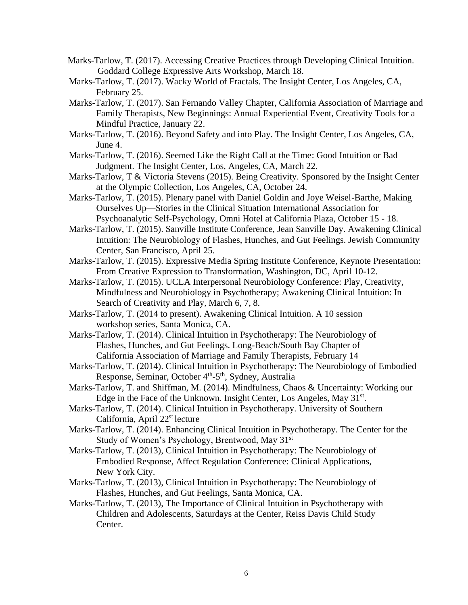- Marks-Tarlow, T. (2017). Accessing Creative Practices through Developing Clinical Intuition. Goddard College Expressive Arts Workshop, March 18.
- Marks-Tarlow, T. (2017). Wacky World of Fractals. The Insight Center, Los Angeles, CA, February 25.
- Marks-Tarlow, T. (2017). San Fernando Valley Chapter, California Association of Marriage and Family Therapists, New Beginnings: Annual Experiential Event, Creativity Tools for a Mindful Practice, January 22.
- Marks-Tarlow, T. (2016). Beyond Safety and into Play. The Insight Center, Los Angeles, CA, June 4.
- Marks-Tarlow, T. (2016). Seemed Like the Right Call at the Time: Good Intuition or Bad Judgment. The Insight Center, Los, Angeles, CA, March 22.
- Marks-Tarlow, T & Victoria Stevens (2015). Being Creativity. Sponsored by the Insight Center at the Olympic Collection, Los Angeles, CA, October 24.
- Marks-Tarlow, T. (2015). Plenary panel with Daniel Goldin and Joye Weisel-Barthe, Making Ourselves Up—Stories in the Clinical Situation International Association for Psychoanalytic Self-Psychology, Omni Hotel at California Plaza, October 15 - 18.
- Marks-Tarlow, T. (2015). Sanville Institute Conference, Jean Sanville Day. Awakening Clinical Intuition: The Neurobiology of Flashes, Hunches, and Gut Feelings. Jewish Community Center, San Francisco, April 25.
- Marks-Tarlow, T. (2015). Expressive Media Spring Institute Conference, Keynote Presentation: From Creative Expression to Transformation, Washington, DC, April 10-12.
- Marks-Tarlow, T. (2015). UCLA Interpersonal Neurobiology Conference: Play, Creativity, Mindfulness and Neurobiology in Psychotherapy; Awakening Clinical Intuition: In Search of Creativity and Play, March 6, 7, 8.
- Marks-Tarlow, T. (2014 to present). Awakening Clinical Intuition. A 10 session workshop series, Santa Monica, CA.
- Marks-Tarlow, T. (2014). Clinical Intuition in Psychotherapy: The Neurobiology of Flashes, Hunches, and Gut Feelings. Long-Beach/South Bay Chapter of California Association of Marriage and Family Therapists, February 14
- Marks-Tarlow, T. (2014). Clinical Intuition in Psychotherapy: The Neurobiology of Embodied Response, Seminar, October 4<sup>th</sup>-5<sup>th</sup>, Sydney, Australia
- Marks-Tarlow, T. and Shiffman, M. (2014). Mindfulness, Chaos & Uncertainty: Working our Edge in the Face of the Unknown. Insight Center, Los Angeles, May 31st.
- Marks-Tarlow, T. (2014). Clinical Intuition in Psychotherapy. University of Southern California, April 22<sup>st</sup> lecture
- Marks-Tarlow, T. (2014). Enhancing Clinical Intuition in Psychotherapy. The Center for the Study of Women's Psychology, Brentwood, May 31st
- Marks-Tarlow, T. (2013), Clinical Intuition in Psychotherapy: The Neurobiology of Embodied Response, Affect Regulation Conference: Clinical Applications, New York City.
- Marks-Tarlow, T. (2013), Clinical Intuition in Psychotherapy: The Neurobiology of Flashes, Hunches, and Gut Feelings, Santa Monica, CA.
- Marks-Tarlow, T. (2013), The Importance of Clinical Intuition in Psychotherapy with Children and Adolescents, Saturdays at the Center, Reiss Davis Child Study Center.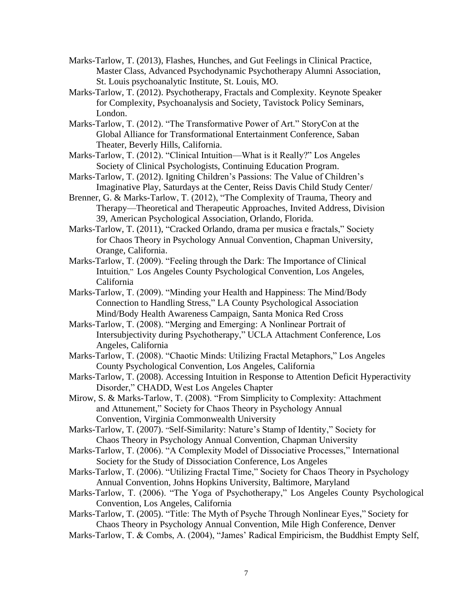- Marks-Tarlow, T. (2013), Flashes, Hunches, and Gut Feelings in Clinical Practice, Master Class, Advanced Psychodynamic Psychotherapy Alumni Association, St. Louis psychoanalytic Institute, St. Louis, MO.
- Marks-Tarlow, T. (2012). Psychotherapy, Fractals and Complexity. Keynote Speaker for Complexity, Psychoanalysis and Society, Tavistock Policy Seminars, London.
- Marks-Tarlow, T. (2012). "The Transformative Power of Art." StoryCon at the Global Alliance for Transformational Entertainment Conference, Saban Theater, Beverly Hills, California.
- Marks-Tarlow, T. (2012). "Clinical Intuition—What is it Really?" Los Angeles Society of Clinical Psychologists, Continuing Education Program.
- Marks-Tarlow, T. (2012). Igniting Children's Passions: The Value of Children's Imaginative Play, Saturdays at the Center, Reiss Davis Child Study Center/
- Brenner, G. & Marks-Tarlow, T. (2012), "The Complexity of Trauma, Theory and Therapy—Theoretical and Therapeutic Approaches, Invited Address, Division 39, American Psychological Association, Orlando, Florida.
- Marks-Tarlow, T. (2011), "Cracked Orlando, drama per musica e fractals," Society for Chaos Theory in Psychology Annual Convention, Chapman University, Orange, California.
- Marks-Tarlow, T. (2009). "Feeling through the Dark: The Importance of Clinical Intuition," Los Angeles County Psychological Convention, Los Angeles, California
- Marks-Tarlow, T. (2009). "Minding your Health and Happiness: The Mind/Body Connection to Handling Stress," LA County Psychological Association Mind/Body Health Awareness Campaign, Santa Monica Red Cross
- Marks-Tarlow, T. (2008). "Merging and Emerging: A Nonlinear Portrait of Intersubjectivity during Psychotherapy," UCLA Attachment Conference, Los Angeles, California
- Marks-Tarlow, T. (2008). "Chaotic Minds: Utilizing Fractal Metaphors," Los Angeles County Psychological Convention, Los Angeles, California
- Marks-Tarlow, T. (2008). Accessing Intuition in Response to Attention Deficit Hyperactivity Disorder," CHADD, West Los Angeles Chapter
- Mirow, S. & Marks-Tarlow, T. (2008). "From Simplicity to Complexity: Attachment and Attunement," Society for Chaos Theory in Psychology Annual Convention, Virginia Commonwealth University
- Marks-Tarlow, T. (2007). "Self-Similarity: Nature's Stamp of Identity," Society for Chaos Theory in Psychology Annual Convention, Chapman University
- Marks-Tarlow, T. (2006). "A Complexity Model of Dissociative Processes," International Society for the Study of Dissociation Conference, Los Angeles
- Marks-Tarlow, T. (2006). "Utilizing Fractal Time," Society for Chaos Theory in Psychology Annual Convention, Johns Hopkins University, Baltimore, Maryland
- Marks-Tarlow, T. (2006). "The Yoga of Psychotherapy," Los Angeles County Psychological Convention, Los Angeles, California
- Marks-Tarlow, T. (2005). "Title: The Myth of Psyche Through Nonlinear Eyes," Society for Chaos Theory in Psychology Annual Convention, Mile High Conference, Denver
- Marks-Tarlow, T. & Combs, A. (2004), "James' Radical Empiricism, the Buddhist Empty Self,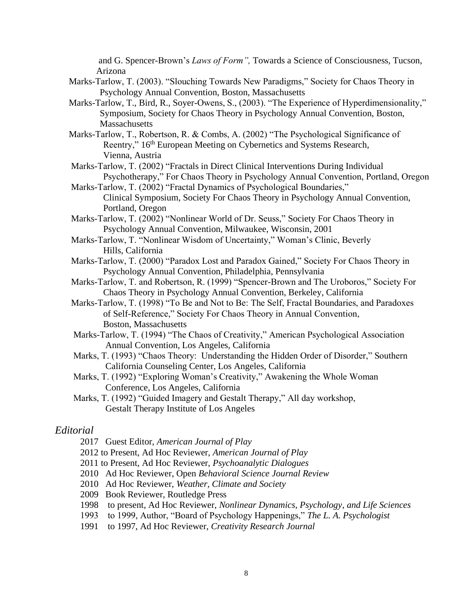and G. Spencer-Brown's *Laws of Form",* Towards a Science of Consciousness, Tucson, Arizona

- Marks-Tarlow, T. (2003). "Slouching Towards New Paradigms," Society for Chaos Theory in Psychology Annual Convention, Boston, Massachusetts
- Marks-Tarlow, T., Bird, R., Soyer-Owens, S., (2003). "The Experience of Hyperdimensionality," Symposium, Society for Chaos Theory in Psychology Annual Convention, Boston, **Massachusetts**
- Marks-Tarlow, T., Robertson, R. & Combs, A. (2002) "The Psychological Significance of Reentry,"  $16<sup>th</sup>$  European Meeting on Cybernetics and Systems Research, Vienna, Austria
- Marks-Tarlow, T. (2002) "Fractals in Direct Clinical Interventions During Individual Psychotherapy," For Chaos Theory in Psychology Annual Convention, Portland, Oregon
- Marks-Tarlow, T. (2002) "Fractal Dynamics of Psychological Boundaries," Clinical Symposium, Society For Chaos Theory in Psychology Annual Convention, Portland, Oregon
- Marks-Tarlow, T. (2002) "Nonlinear World of Dr. Seuss," Society For Chaos Theory in Psychology Annual Convention, Milwaukee, Wisconsin, 2001
- Marks-Tarlow, T. "Nonlinear Wisdom of Uncertainty," Woman's Clinic, Beverly Hills, California
- Marks-Tarlow, T. (2000) "Paradox Lost and Paradox Gained," Society For Chaos Theory in Psychology Annual Convention, Philadelphia, Pennsylvania
- Marks-Tarlow, T. and Robertson, R. (1999) "Spencer-Brown and The Uroboros," Society For Chaos Theory in Psychology Annual Convention, Berkeley, California
- Marks-Tarlow, T. (1998) "To Be and Not to Be: The Self, Fractal Boundaries, and Paradoxes of Self-Reference," Society For Chaos Theory in Annual Convention, Boston, Massachusetts
- Marks-Tarlow, T. (1994) "The Chaos of Creativity," American Psychological Association Annual Convention, Los Angeles, California
- Marks, T. (1993) "Chaos Theory: Understanding the Hidden Order of Disorder," Southern California Counseling Center, Los Angeles, California
- Marks, T. (1992) "Exploring Woman's Creativity," Awakening the Whole Woman Conference, Los Angeles, California
- Marks, T. (1992) "Guided Imagery and Gestalt Therapy," All day workshop, Gestalt Therapy Institute of Los Angeles

## *Editorial*

- 2017 Guest Editor, *American Journal of Play*
- 2012 to Present, Ad Hoc Reviewer, *American Journal of Play*
- 2011 to Present, Ad Hoc Reviewer, *Psychoanalytic Dialogues*
- 2010 Ad Hoc Reviewer, Open *Behavioral Science Journal Review*
- 2010 Ad Hoc Reviewer, *Weather, Climate and Society*
- 2009 Book Reviewer, Routledge Press
- 1998 to present, Ad Hoc Reviewer, *Nonlinear Dynamics, Psychology*, *and Life Sciences*
- 1993 to 1999, Author, "Board of Psychology Happenings," *The L. A. Psychologist*
- 1991 to 1997, Ad Hoc Reviewer, *Creativity Research Journal*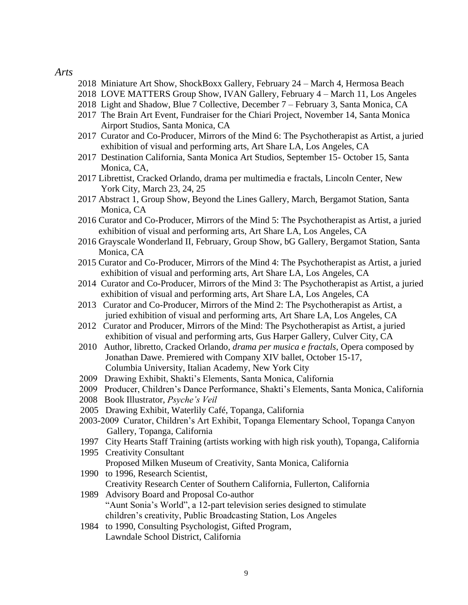### *Arts*

- 2018 Miniature Art Show, ShockBoxx Gallery, February 24 March 4, Hermosa Beach
- 2018 LOVE MATTERS Group Show, IVAN Gallery, February 4 March 11, Los Angeles
- 2018 Light and Shadow, Blue 7 Collective, December 7 February 3, Santa Monica, CA
- 2017 The Brain Art Event, Fundraiser for the Chiari Project, November 14, Santa Monica Airport Studios, Santa Monica, CA
- 2017 Curator and Co-Producer, Mirrors of the Mind 6: The Psychotherapist as Artist, a juried exhibition of visual and performing arts, Art Share LA, Los Angeles, CA
- 2017 Destination California, Santa Monica Art Studios, September 15- October 15, Santa Monica, CA,
- 2017 Librettist, Cracked Orlando, drama per multimedia e fractals, Lincoln Center, New York City, March 23, 24, 25
- 2017 Abstract 1, Group Show, Beyond the Lines Gallery, March, Bergamot Station, Santa Monica, CA
- 2016 Curator and Co-Producer, Mirrors of the Mind 5: The Psychotherapist as Artist, a juried exhibition of visual and performing arts, Art Share LA, Los Angeles, CA
- 2016 Grayscale Wonderland II, February, Group Show, bG Gallery, Bergamot Station, Santa Monica, CA
- 2015 Curator and Co-Producer, Mirrors of the Mind 4: The Psychotherapist as Artist, a juried exhibition of visual and performing arts, Art Share LA, Los Angeles, CA
- 2014 Curator and Co-Producer, Mirrors of the Mind 3: The Psychotherapist as Artist, a juried exhibition of visual and performing arts, Art Share LA, Los Angeles, CA
- 2013 Curator and Co-Producer, Mirrors of the Mind 2: The Psychotherapist as Artist, a juried exhibition of visual and performing arts, Art Share LA, Los Angeles, CA
- 2012 Curator and Producer, Mirrors of the Mind: The Psychotherapist as Artist, a juried exhibition of visual and performing arts, Gus Harper Gallery, Culver City, CA
- 2010 Author, libretto, Cracked Orlando, *drama per musica e fractals*, Opera composed by Jonathan Dawe. Premiered with Company XIV ballet, October 15-17, Columbia University, Italian Academy, New York City
- 2009 Drawing Exhibit, Shakti's Elements, Santa Monica, California
- 2009 Producer, Children's Dance Performance, Shakti's Elements, Santa Monica, California
- 2008 Book Illustrator, *Psyche's Veil*
- 2005 Drawing Exhibit, Waterlily Café, Topanga, California
- 2003-2009 Curator, Children's Art Exhibit, Topanga Elementary School, Topanga Canyon Gallery, Topanga, California
- 1997 City Hearts Staff Training (artists working with high risk youth), Topanga, California
- 1995 Creativity Consultant Proposed Milken Museum of Creativity, Santa Monica, California
- 1990 to 1996, Research Scientist, Creativity Research Center of Southern California, Fullerton, California
- 1989 Advisory Board and Proposal Co-author "Aunt Sonia's World", a 12-part television series designed to stimulate children's creativity, Public Broadcasting Station, Los Angeles
- 1984 to 1990, Consulting Psychologist, Gifted Program, Lawndale School District, California